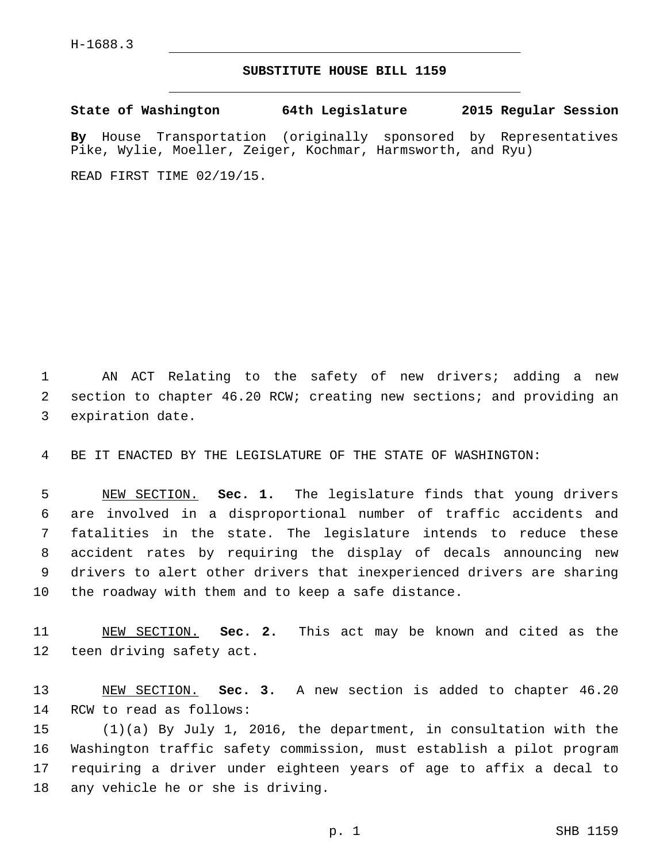## **SUBSTITUTE HOUSE BILL 1159**

**State of Washington 64th Legislature 2015 Regular Session By** House Transportation (originally sponsored by Representatives Pike, Wylie, Moeller, Zeiger, Kochmar, Harmsworth, and Ryu) READ FIRST TIME 02/19/15.

1 AN ACT Relating to the safety of new drivers; adding a new 2 section to chapter 46.20 RCW; creating new sections; and providing an 3 expiration date.

4 BE IT ENACTED BY THE LEGISLATURE OF THE STATE OF WASHINGTON:

 NEW SECTION. **Sec. 1.** The legislature finds that young drivers are involved in a disproportional number of traffic accidents and fatalities in the state. The legislature intends to reduce these accident rates by requiring the display of decals announcing new drivers to alert other drivers that inexperienced drivers are sharing the roadway with them and to keep a safe distance.

11 NEW SECTION. **Sec. 2.** This act may be known and cited as the 12 teen driving safety act.

13 NEW SECTION. **Sec. 3.** A new section is added to chapter 46.20 14 RCW to read as follows:

 (1)(a) By July 1, 2016, the department, in consultation with the Washington traffic safety commission, must establish a pilot program requiring a driver under eighteen years of age to affix a decal to 18 any vehicle he or she is driving.